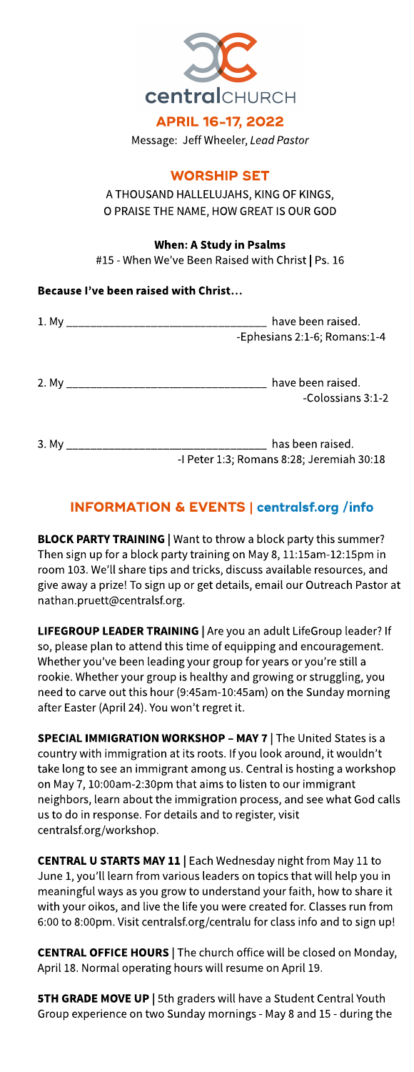

Message: Jeff Wheeler, **LeadPastor**

## **WORSHIP SET**

A THOUSAND HALLELUJAHS, KING OF KINGS, O PRAISE THE NAME, HOW GREAT IS OUR GOD

## When: A Study in Psalms

#15 - When We've Been Raised with Christ | Ps. 16

## Because I've been raised with Christ...

| have been raised.<br>-Ephesians 2:1-6; Romans:1-4             |  |  |  |  |
|---------------------------------------------------------------|--|--|--|--|
| have been raised.<br>-Colossians 3:1-2                        |  |  |  |  |
| has been raised.<br>-I Peter 1:3; Romans 8:28; Jeremiah 30:18 |  |  |  |  |

## INFORMATION& EVENTS| **[centralsf.org/info](http://centralsf.org/info)**

BLOCK PARTY TRAINING | Want to throw a block party this summer? Then sign up for a block party training on May 8, 11:15am-12:15pm in room 103. We'll share tips and tricks, discuss available resources, and give away a prize! To sign up or get details, email our Outreach Pastor at nathan.pruett@centralsf.org.

LIFEGROUP LEADER TRAINING | Are you an adult LifeGroup leader? If so, please plan to attend this time of equipping and encouragement. Whether you've been leading your group for years or you're still a rookie. Whether your group is healthy and growing or struggling, you need to carve out this hour (9:45am-10:45am) on the Sunday morning after Easter (April 24). You won?t regret it.

SPECIAL IMMIGRATION WORKSHOP - MAY 7 | The United States is a country with immigration at its roots. If you look around, it wouldn't take long to see an immigrant among us. Central is hosting a workshop on May 7, 10:00am-2:30pm that aimsto listen to our immigrant neighbors, learn about the immigration process, and seewhat God calls us to do in response. For details and to register, visit centralsf.org/workshop.

CENTRAL U STARTS MAY 11 | Each Wednesday night from May 11 to June 1, you'll learn from various leaders on topics that will help you in meaningful ways as you grow to understand your faith, how to share it with your oikos, and live the life you were created for. Classes run from 6:00 to 8:00pm. Visit centralsf.org/centralu for classinfo and to sign up!

CENTRAL OFFICE HOURS | The church office will be closed on Monday, April 18. Normal operating hours will resume on April 19.

5TH GRADE MOVE UP | 5th graders will have a Student Central Youth Group experience on two Sunday mornings - May 8 and 15 - during the